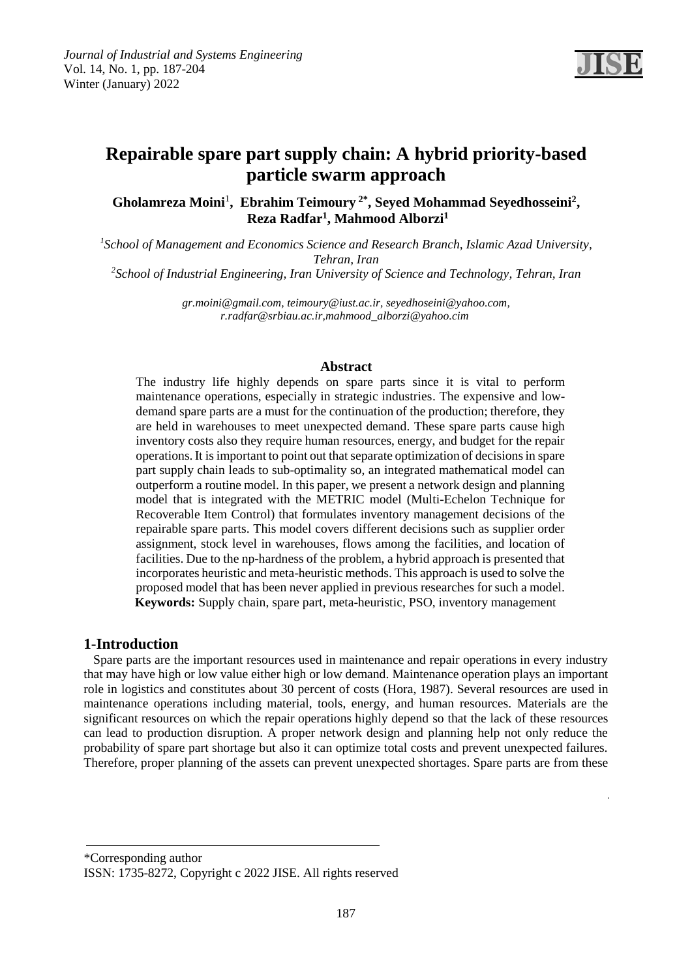

# **Repairable spare part supply chain: A hybrid priority-based particle swarm approach**

Gholamreza Moini<sup>1</sup>, Ebrahim Teimoury<sup>2\*</sup>, Seyed Mohammad Seyedhosseini<sup>2</sup>, **1 , Mahmood Alborzi Reza Radfar<sup>1</sup>**

<sup>1</sup> School of Management and Economics Science and Research Branch, Islamic Azad University, *Tehran, Iran*

*School of Industrial Engineering, Iran University of Science and Technology, Tehran, Iran <sup>2</sup>*

*[gr.moini@gmail.com, teimoury@iust.ac.ir, seyedhoseini@yahoo.com,](mailto:gr.moini@gmail.com)  [r.radfar@srbiau.ac.ir,](mailto:r.radfar@srbiau.ac.ir)mahmood\_alborzi@yahoo.cim*

#### **Abstract**

The industry life highly depends on spare parts since it is vital to perform maintenance operations, especially in strategic industries. The expensive and lowdemand spare parts are a must for the continuation of the production; therefore, they are held in warehouses to meet unexpected demand. These spare parts cause high inventory costs also they require human resources, energy, and budget for the repair operations. It is important to point out that separate optimization of decisionsin spare part supply chain leads to sub-optimality so, an integrated mathematical model can outperform a routine model. In this paper, we present a network design and planning model that is integrated with the METRIC model (Multi-Echelon Technique for Recoverable Item Control) that formulates inventory management decisions of the repairable spare parts. This model covers different decisions such as supplier order assignment, stock level in warehouses, flows among the facilities, and location of facilities. Due to the np-hardness of the problem, a hybrid approach is presented that incorporates heuristic and meta-heuristic methods. This approach is used to solve the proposed model that has been never applied in previous researches for such a model.  **Keywords:** Supply chain, spare part, meta-heuristic, PSO, inventory management

#### **1-Introduction**

 Spare parts are the important resources used in maintenance and repair operations in every industry that may have high or low value either high or low demand. Maintenance operation plays an important role in logistics and constitutes about 30 percent of costs (Hora, 1987). Several resources are used in maintenance operations including material, tools, energy, and human resources. Materials are the significant resources on which the repair operations highly depend so that the lack of these resources can lead to production disruption. A proper network design and planning help not only reduce the probability of spare part shortage but also it can optimize total costs and prevent unexpected failures. Therefore, proper planning of the assets can prevent unexpected shortages. Spare parts are from these

\*Corresponding author

ISSN: 1735-8272, Copyright c 2022 JISE. All rights reserved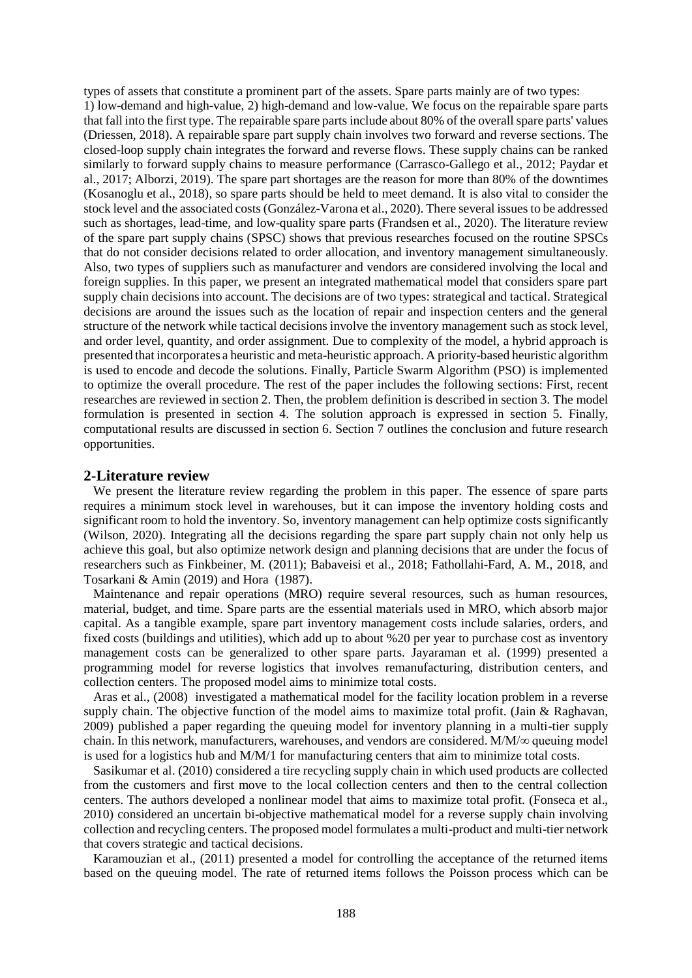types of assets that constitute a prominent part of the assets. Spare parts mainly are of two types: 1) low-demand and high-value, 2) high-demand and low-value. We focus on the repairable spare parts that fall into the first type. The repairable spare parts include about 80% of the overall spare parts' values (Driessen, 2018). A repairable spare part supply chain involves two forward and reverse sections. The closed-loop supply chain integrates the forward and reverse flows. These supply chains can be ranked similarly to forward supply chains to measure performance (Carrasco-Gallego et al., 2012; Paydar et al., 2017; Alborzi, 2019). The spare part shortages are the reason for more than 80% of the downtimes (Kosanoglu et al., 2018), so spare parts should be held to meet demand. It is also vital to consider the stock level and the associated costs (González-Varona et al., 2020). There several issues to be addressed such as shortages, lead-time, and low-quality spare parts (Frandsen et al., 2020). The literature review of the spare part supply chains (SPSC) shows that previous researches focused on the routine SPSCs that do not consider decisions related to order allocation, and inventory management simultaneously. Also, two types of suppliers such as manufacturer and vendors are considered involving the local and foreign supplies. In this paper, we present an integrated mathematical model that considers spare part supply chain decisions into account. The decisions are of two types: strategical and tactical. Strategical decisions are around the issues such as the location of repair and inspection centers and the general structure of the network while tactical decisions involve the inventory management such as stock level, and order level, quantity, and order assignment. Due to complexity of the model, a hybrid approach is presented that incorporates a heuristic and meta-heuristic approach. A priority-based heuristic algorithm is used to encode and decode the solutions. Finally, Particle Swarm Algorithm (PSO) is implemented to optimize the overall procedure. The rest of the paper includes the following sections: First, recent researches are reviewed in section 2. Then, the problem definition is described in section 3. The model formulation is presented in section 4. The solution approach is expressed in section 5. Finally, computational results are discussed in section 6. Section 7 outlines the conclusion and future research opportunities.

#### **2-Literature review**

 We present the literature review regarding the problem in this paper. The essence of spare parts requires a minimum stock level in warehouses, but it can impose the inventory holding costs and significant room to hold the inventory. So, inventory management can help optimize costs significantly (Wilson, 2020). Integrating all the decisions regarding the spare part supply chain not only help us achieve this goal, but also optimize network design and planning decisions that are under the focus of researchers such as Finkbeiner, M. (2011); Babaveisi et al., 2018; Fathollahi-Fard, A. M., 2018, and Tosarkani & Amin (2019) and Hora (1987).

 Maintenance and repair operations (MRO) require several resources, such as human resources, material, budget, and time. Spare parts are the essential materials used in MRO, which absorb major capital. As a tangible example, spare part inventory management costs include salaries, orders, and fixed costs (buildings and utilities), which add up to about %20 per year to purchase cost as inventory management costs can be generalized to other spare parts. Jayaraman et al. (1999) presented a programming model for reverse logistics that involves remanufacturing, distribution centers, and collection centers. The proposed model aims to minimize total costs.

 Aras et al., (2008) investigated a mathematical model for the facility location problem in a reverse supply chain. The objective function of the model aims to maximize total profit. (Jain & Raghavan, 2009) published a paper regarding the queuing model for inventory planning in a multi-tier supply chain. In this network, manufacturers, warehouses, and vendors are considered. M/M/∞ queuing model is used for a logistics hub and M/M/1 for manufacturing centers that aim to minimize total costs.

 Sasikumar et al. (2010) considered a tire recycling supply chain in which used products are collected from the customers and first move to the local collection centers and then to the central collection centers. The authors developed a nonlinear model that aims to maximize total profit. (Fonseca et al., 2010) considered an uncertain bi-objective mathematical model for a reverse supply chain involving collection and recycling centers. The proposed model formulates a multi-product and multi-tier network that covers strategic and tactical decisions.

 Karamouzian et al., (2011) presented a model for controlling the acceptance of the returned items based on the queuing model. The rate of returned items follows the Poisson process which can be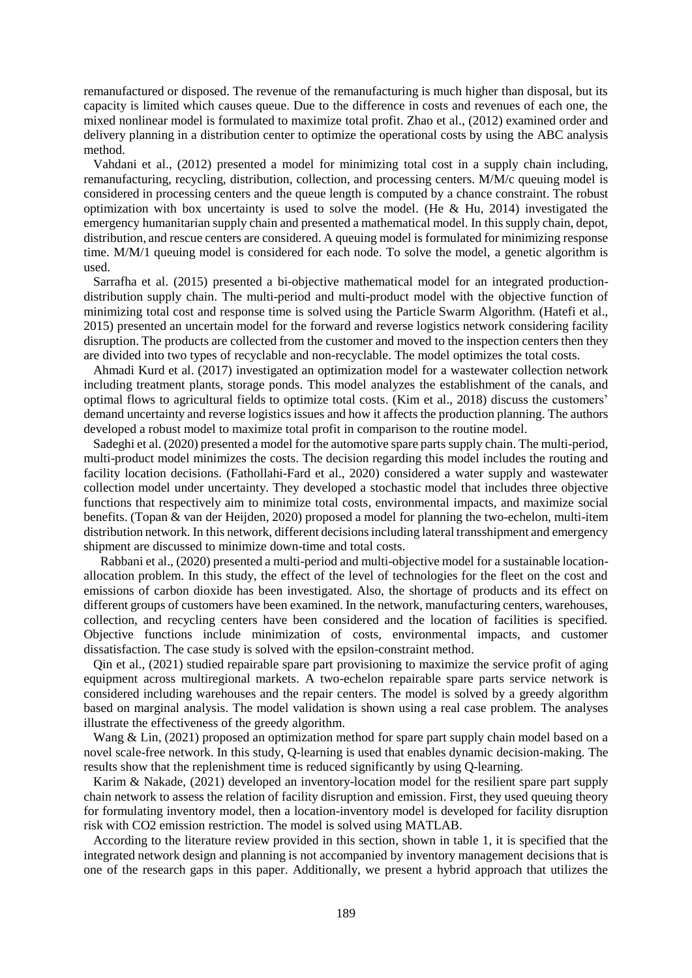remanufactured or disposed. The revenue of the remanufacturing is much higher than disposal, but its capacity is limited which causes queue. Due to the difference in costs and revenues of each one, the mixed nonlinear model is formulated to maximize total profit. Zhao et al., (2012) examined order and delivery planning in a distribution center to optimize the operational costs by using the ABC analysis method.

 Vahdani et al., (2012) presented a model for minimizing total cost in a supply chain including, remanufacturing, recycling, distribution, collection, and processing centers. M/M/c queuing model is considered in processing centers and the queue length is computed by a chance constraint. The robust optimization with box uncertainty is used to solve the model. (He  $\&$  Hu, 2014) investigated the emergency humanitarian supply chain and presented a mathematical model. In this supply chain, depot, distribution, and rescue centers are considered. A queuing model is formulated for minimizing response time. M/M/1 queuing model is considered for each node. To solve the model, a genetic algorithm is used.

 Sarrafha et al. (2015) presented a bi-objective mathematical model for an integrated productiondistribution supply chain. The multi-period and multi-product model with the objective function of minimizing total cost and response time is solved using the Particle Swarm Algorithm. (Hatefi et al., 2015) presented an uncertain model for the forward and reverse logistics network considering facility disruption. The products are collected from the customer and moved to the inspection centers then they are divided into two types of recyclable and non-recyclable. The model optimizes the total costs.

 Ahmadi Kurd et al. (2017) investigated an optimization model for a wastewater collection network including treatment plants, storage ponds. This model analyzes the establishment of the canals, and optimal flows to agricultural fields to optimize total costs. (Kim et al., 2018) discuss the customers' demand uncertainty and reverse logistics issues and how it affects the production planning. The authors developed a robust model to maximize total profit in comparison to the routine model.

 Sadeghi et al. (2020) presented a model for the automotive spare parts supply chain. The multi-period, multi-product model minimizes the costs. The decision regarding this model includes the routing and facility location decisions. (Fathollahi-Fard et al., 2020) considered a water supply and wastewater collection model under uncertainty. They developed a stochastic model that includes three objective functions that respectively aim to minimize total costs, environmental impacts, and maximize social benefits. (Topan & van der Heijden, 2020) proposed a model for planning the two-echelon, multi-item distribution network. In this network, different decisions including lateral transshipment and emergency shipment are discussed to minimize down-time and total costs.

Rabbani et al., (2020) presented a multi-period and multi-objective model for a sustainable locationallocation problem. In this study, the effect of the level of technologies for the fleet on the cost and emissions of carbon dioxide has been investigated. Also, the shortage of products and its effect on different groups of customers have been examined. In the network, manufacturing centers, warehouses, collection, and recycling centers have been considered and the location of facilities is specified. Objective functions include minimization of costs, environmental impacts, and customer dissatisfaction. The case study is solved with the epsilon-constraint method.

 Qin et al., (2021) studied repairable spare part provisioning to maximize the service profit of aging equipment across multiregional markets. A two-echelon repairable spare parts service network is considered including warehouses and the repair centers. The model is solved by a greedy algorithm based on marginal analysis. The model validation is shown using a real case problem. The analyses illustrate the effectiveness of the greedy algorithm.

 Wang & Lin, (2021) proposed an optimization method for spare part supply chain model based on a novel scale-free network. In this study, Q-learning is used that enables dynamic decision-making. The results show that the replenishment time is reduced significantly by using Q-learning.

 Karim & Nakade, (2021) developed an inventory-location model for the resilient spare part supply chain network to assess the relation of facility disruption and emission. First, they used queuing theory for formulating inventory model, then a location-inventory model is developed for facility disruption risk with CO2 emission restriction. The model is solved using MATLAB.

 According to the literature review provided in this section, shown in table 1, it is specified that the integrated network design and planning is not accompanied by inventory management decisions that is one of the research gaps in this paper. Additionally, we present a hybrid approach that utilizes the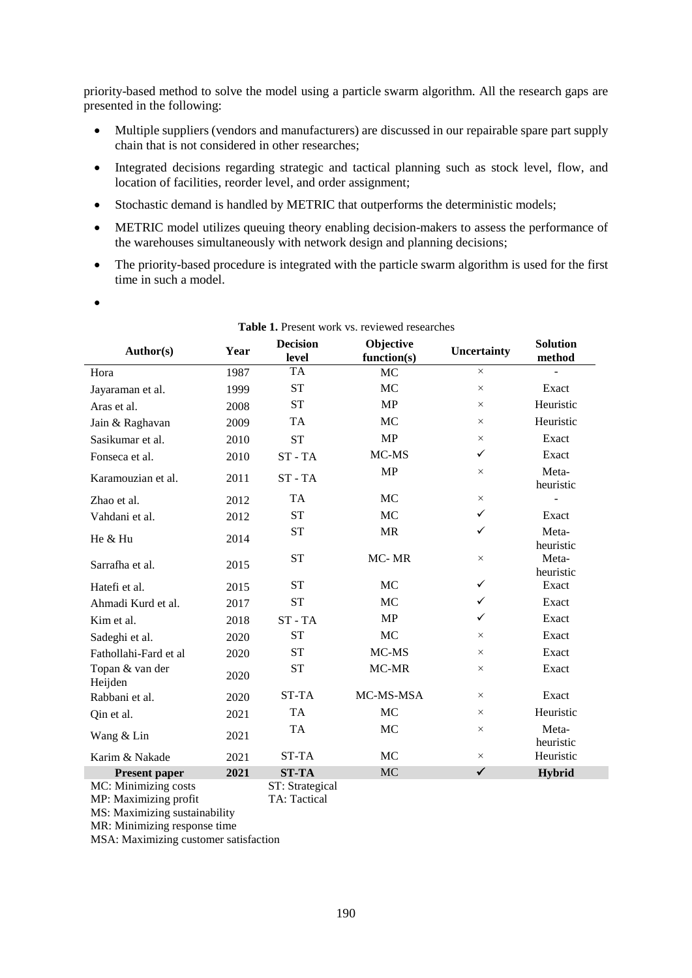priority-based method to solve the model using a particle swarm algorithm. All the research gaps are presented in the following:

- Multiple suppliers (vendors and manufacturers) are discussed in our repairable spare part supply chain that is not considered in other researches;
- Integrated decisions regarding strategic and tactical planning such as stock level, flow, and location of facilities, reorder level, and order assignment;
- Stochastic demand is handled by METRIC that outperforms the deterministic models;
- METRIC model utilizes queuing theory enabling decision-makers to assess the performance of the warehouses simultaneously with network design and planning decisions;
- The priority-based procedure is integrated with the particle swarm algorithm is used for the first time in such a model.
- $\bullet$

|                            | <b>Table 1.</b> I resent work vs. Teviewed researches |                          |                          |              |                           |  |  |  |  |
|----------------------------|-------------------------------------------------------|--------------------------|--------------------------|--------------|---------------------------|--|--|--|--|
| <b>Author(s)</b>           | Year                                                  | <b>Decision</b><br>level | Objective<br>function(s) | Uncertainty  | <b>Solution</b><br>method |  |  |  |  |
| Hora                       | 1987                                                  | <b>TA</b>                | <b>MC</b>                | $\times$     |                           |  |  |  |  |
| Jayaraman et al.           | 1999                                                  | <b>ST</b>                | MC                       | $\times$     | Exact                     |  |  |  |  |
| Aras et al.                | 2008                                                  | <b>ST</b>                | MP                       | $\times$     | Heuristic                 |  |  |  |  |
| Jain & Raghavan            | 2009                                                  | <b>TA</b>                | MC                       | $\times$     | Heuristic                 |  |  |  |  |
| Sasikumar et al.           | 2010                                                  | <b>ST</b>                | <b>MP</b>                | $\times$     | Exact                     |  |  |  |  |
| Fonseca et al.             | 2010                                                  | $ST - TA$                | MC-MS                    | ✓            | Exact                     |  |  |  |  |
| Karamouzian et al.         | 2011                                                  | $ST - TA$                | <b>MP</b>                | $\times$     | Meta-<br>heuristic        |  |  |  |  |
| Zhao et al.                | 2012                                                  | <b>TA</b>                | MC                       | $\times$     |                           |  |  |  |  |
| Vahdani et al.             | 2012                                                  | <b>ST</b>                | MC                       | $\checkmark$ | Exact                     |  |  |  |  |
| He & Hu                    | 2014                                                  | <b>ST</b>                | <b>MR</b>                | ✓            | Meta-<br>heuristic        |  |  |  |  |
| Sarrafha et al.            | 2015                                                  | <b>ST</b>                | MC-MR                    | $\times$     | Meta-<br>heuristic        |  |  |  |  |
| Hatefi et al.              | 2015                                                  | <b>ST</b>                | MC                       | $\checkmark$ | Exact                     |  |  |  |  |
| Ahmadi Kurd et al.         | 2017                                                  | <b>ST</b>                | MC                       | $\checkmark$ | Exact                     |  |  |  |  |
| Kim et al.                 | 2018                                                  | $ST - TA$                | MP                       | $\checkmark$ | Exact                     |  |  |  |  |
| Sadeghi et al.             | 2020                                                  | <b>ST</b>                | MC                       | $\times$     | Exact                     |  |  |  |  |
| Fathollahi-Fard et al      | 2020                                                  | <b>ST</b>                | MC-MS                    | $\times$     | Exact                     |  |  |  |  |
| Topan & van der<br>Heijden | 2020                                                  | <b>ST</b>                | MC-MR                    | $\times$     | Exact                     |  |  |  |  |
| Rabbani et al.             | 2020                                                  | ST-TA                    | MC-MS-MSA                | $\times$     | Exact                     |  |  |  |  |
| Qin et al.                 | 2021                                                  | <b>TA</b>                | MC                       | $\times$     | Heuristic                 |  |  |  |  |
| Wang & Lin                 | 2021                                                  | <b>TA</b>                | MC                       | $\times$     | Meta-<br>heuristic        |  |  |  |  |
| Karim & Nakade             | 2021                                                  | ST-TA                    | MC                       | $\times$     | Heuristic                 |  |  |  |  |
| <b>Present paper</b>       | 2021                                                  | <b>ST-TA</b>             | <b>MC</b>                | $\checkmark$ | <b>Hybrid</b>             |  |  |  |  |

## **Table 1.** Present work vs. reviewed researches

MC: Minimizing costs ST: Strategical MP: Maximizing profit TA: Tactical

MS: Maximizing sustainability

MR: Minimizing response time

MSA: Maximizing customer satisfaction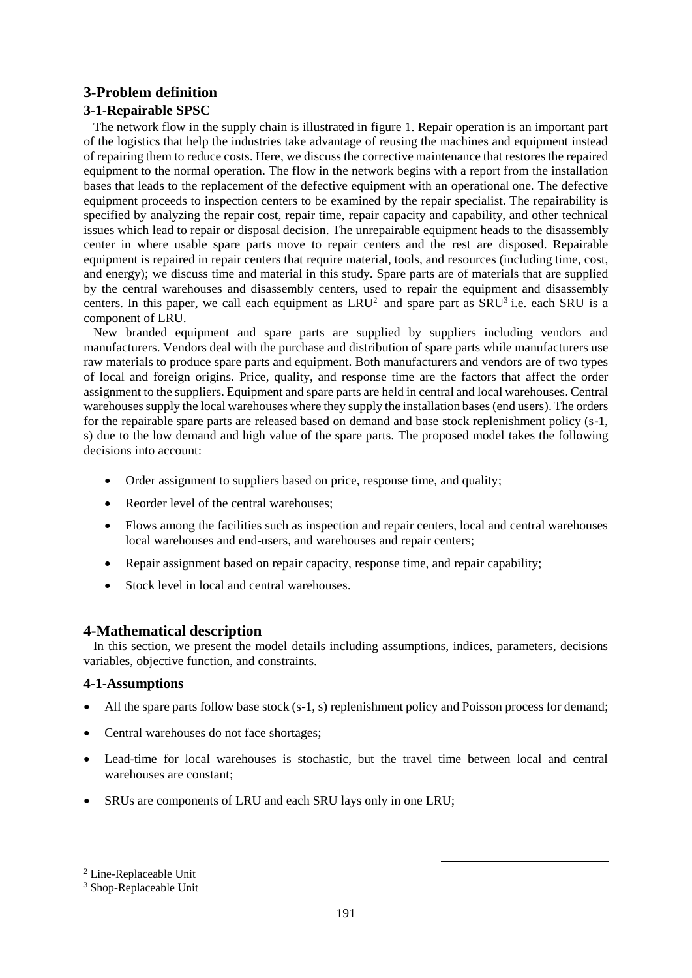## **3-Problem definition**

## **3-1-Repairable SPSC**

 The network flow in the supply chain is illustrated in figure 1. Repair operation is an important part of the logistics that help the industries take advantage of reusing the machines and equipment instead of repairing them to reduce costs. Here, we discuss the corrective maintenance that restoresthe repaired equipment to the normal operation. The flow in the network begins with a report from the installation bases that leads to the replacement of the defective equipment with an operational one. The defective equipment proceeds to inspection centers to be examined by the repair specialist. The repairability is specified by analyzing the repair cost, repair time, repair capacity and capability, and other technical issues which lead to repair or disposal decision. The unrepairable equipment heads to the disassembly center in where usable spare parts move to repair centers and the rest are disposed. Repairable equipment is repaired in repair centers that require material, tools, and resources (including time, cost, and energy); we discuss time and material in this study. Spare parts are of materials that are supplied by the central warehouses and disassembly centers, used to repair the equipment and disassembly centers. In this paper, we call each equipment as  $LRU^2$  and spare part as  $SRU^3$  i.e. each SRU is a component of LRU.

 New branded equipment and spare parts are supplied by suppliers including vendors and manufacturers. Vendors deal with the purchase and distribution of spare parts while manufacturers use raw materials to produce spare parts and equipment. Both manufacturers and vendors are of two types of local and foreign origins. Price, quality, and response time are the factors that affect the order assignment to the suppliers. Equipment and spare parts are held in central and local warehouses. Central warehouses supply the local warehouses where they supply the installation bases (end users). The orders for the repairable spare parts are released based on demand and base stock replenishment policy (s-1, s) due to the low demand and high value of the spare parts. The proposed model takes the following decisions into account:

- Order assignment to suppliers based on price, response time, and quality;
- Reorder level of the central warehouses:
- Flows among the facilities such as inspection and repair centers, local and central warehouses local warehouses and end-users, and warehouses and repair centers;
- Repair assignment based on repair capacity, response time, and repair capability;
- Stock level in local and central warehouses.

## **4-Mathematical description**

 In this section, we present the model details including assumptions, indices, parameters, decisions variables, objective function, and constraints.

## **4-1-Assumptions**

- All the spare parts follow base stock (s-1, s) replenishment policy and Poisson process for demand;
- Central warehouses do not face shortages;
- Lead-time for local warehouses is stochastic, but the travel time between local and central warehouses are constant;
- SRUs are components of LRU and each SRU lays only in one LRU;

1

<sup>3</sup> Shop-Replaceable Unit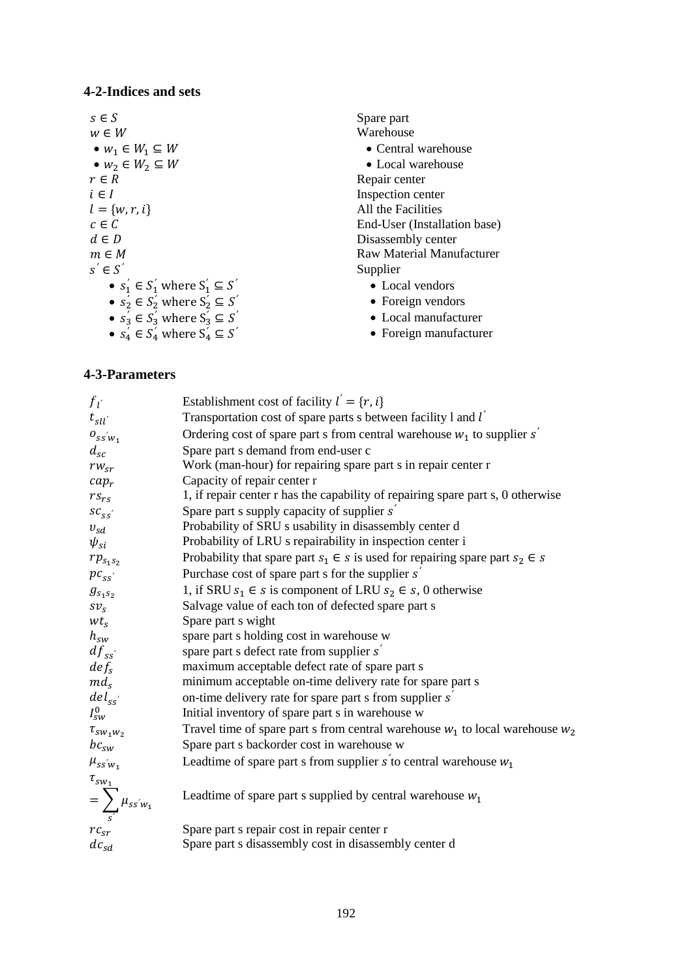### **4-2-Indices and sets**

 $s \in S$  Spare part  $w \in W$  Warehouse •  $w_1 \in W_1 \subseteq W$ <br>
•  $w_2 \in W_2 \subseteq W$ <br>
• Local warehouse •  $w_2 \in W_2 \subseteq W$ <br>  $r \in R$  $i \in I$  Inspection center  $l = \{w, r, i\}$  All the Facilities *′* ∈ •  $s'_1 \in S'_1$  where  $S'_1 \subseteq S'$ •  $s'_2 \in S'_2$  where  $S'_2 \subseteq S$ •  $s'_3 \in S'_3$  where  $S'_3 \subseteq S$ •  $s'_4 \in S'_4$  where  $S'_4 \subseteq S'_4$ 

- Repair center  $c \in \overline{C}$  End-User (Installation base)<br>  $d \in D$  Disassembly center Disassembly center  $m \in M$  Raw Material Manufacturer *′* Supplier
	- Local vendors
	- *′* Foreign vendors
	- *′* Local manufacturer
	- *′* Foreign manufacturer

## **4-3-Parameters**

| $f_{l}$                                                                             | Establishment cost of facility $l' = \{r, i\}$                                       |
|-------------------------------------------------------------------------------------|--------------------------------------------------------------------------------------|
| $t_{\mathfrak{s}\mathfrak{l}\mathfrak{l}'}$                                         | Transportation cost of spare parts s between facility 1 and $l'$                     |
| $o_{ssw_1}$                                                                         | Ordering cost of spare part s from central warehouse $w_1$ to supplier s'            |
| $d_{sc}$                                                                            | Spare part s demand from end-user c                                                  |
| $rw_{sr}$                                                                           | Work (man-hour) for repairing spare part s in repair center r                        |
| $cap_r$                                                                             | Capacity of repair center r                                                          |
| $rs_{rs}$                                                                           | 1, if repair center r has the capability of repairing spare part s, 0 otherwise      |
| $sc_{ss}$                                                                           | Spare part s supply capacity of supplier s                                           |
| $v_{sd}$                                                                            | Probability of SRU s usability in disassembly center d                               |
| $\psi_{si}$                                                                         | Probability of LRU s repairability in inspection center i                            |
| $rp_{s_1s_2}$                                                                       | Probability that spare part $s_1 \in s$ is used for repairing spare part $s_2 \in s$ |
| $pc_{ss}$                                                                           | Purchase cost of spare part s for the supplier $s'$                                  |
| $g_{s_1s_2}$                                                                        | 1, if SRU $s_1 \in s$ is component of LRU $s_2 \in s$ , 0 otherwise                  |
| $Sv_S$                                                                              | Salvage value of each ton of defected spare part s                                   |
| $wt_s$                                                                              | Spare part s wight                                                                   |
| $h_{sw}$                                                                            | spare part s holding cost in warehouse w                                             |
| $df_{ss}$                                                                           | spare part s defect rate from supplier s'                                            |
| def <sub>s</sub>                                                                    | maximum acceptable defect rate of spare part s                                       |
| $md_s$                                                                              | minimum acceptable on-time delivery rate for spare part s                            |
| $\frac{del_{ss^{'}}}{I_{sw}^{0}}$                                                   | on-time delivery rate for spare part s from supplier s                               |
|                                                                                     | Initial inventory of spare part s in warehouse w                                     |
| $\tau_{sw_1w_2}$                                                                    | Travel time of spare part s from central warehouse $w_1$ to local warehouse $w_2$    |
| $bc_{sw}$                                                                           | Spare part s backorder cost in warehouse w                                           |
| $\mu_{ss^{'}w_1}$                                                                   | Leadtime of spare part s from supplier s to central warehouse $w_1$                  |
| $\begin{aligned} \tau_{sw_1} \\ = \sum_{s'} \mu_{ss'w_1} \\ r c_{sr} \end{aligned}$ | Leadtime of spare part s supplied by central warehouse $w_1$                         |
|                                                                                     |                                                                                      |
|                                                                                     | Spare part s repair cost in repair center r                                          |
| $dc_{sd}$                                                                           | Spare part s disassembly cost in disassembly center d                                |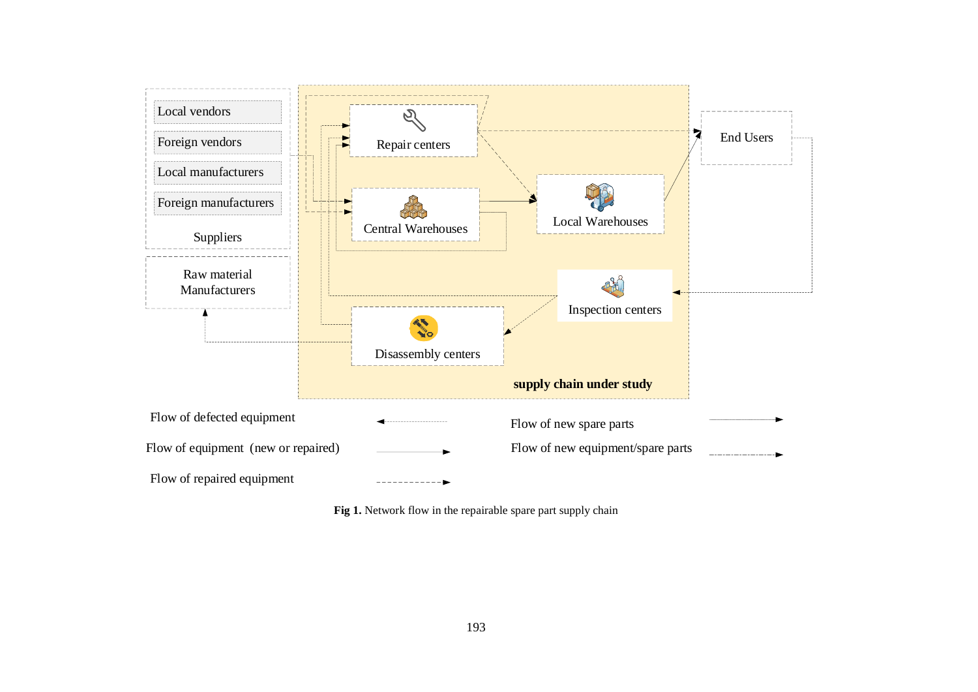

Fig 1. Network flow in the repairable spare part supply chain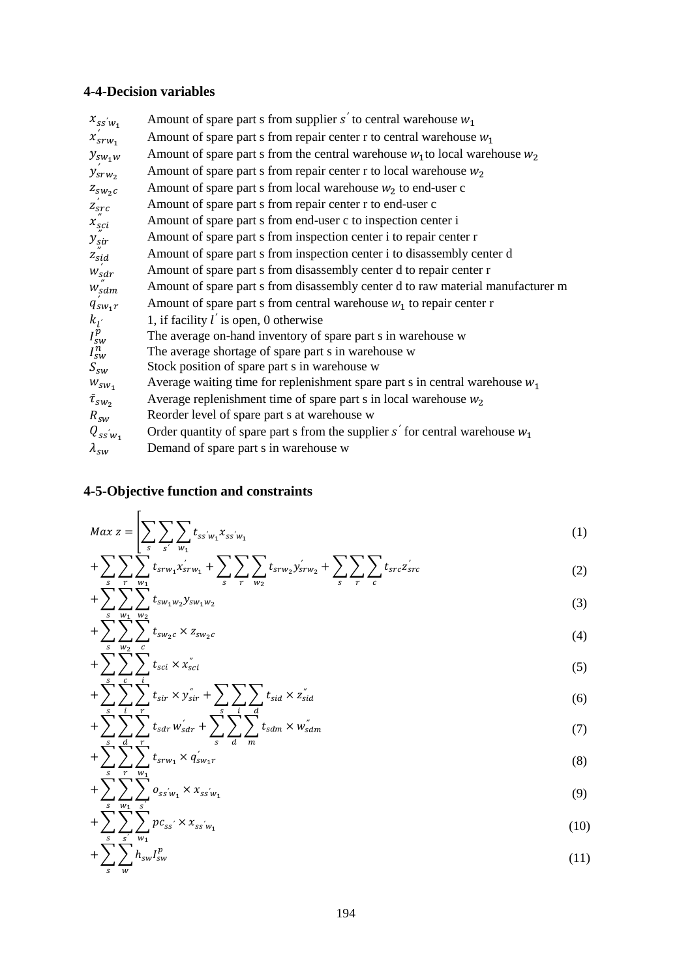## **4-4-Decision variables**

| $x_{ss\prime w_1}$     | Amount of spare part s from supplier s' to central warehouse $w_1$                |
|------------------------|-----------------------------------------------------------------------------------|
| $x_{srw_1}$            | Amount of spare part s from repair center r to central warehouse $w_1$            |
| $y_{sw_1w}$            | Amount of spare part s from the central warehouse $w_1$ to local warehouse $w_2$  |
| $y_{srw_2}$            | Amount of spare part s from repair center r to local warehouse $w_2$              |
| $Z_{SW_2C}$            | Amount of spare part s from local warehouse $w_2$ to end-user c                   |
| $z_{src}$              | Amount of spare part s from repair center r to end-user c                         |
| $x_{\text{sci}}$       | Amount of spare part s from end-user c to inspection center i                     |
| $y_{\text{sir}}$       | Amount of spare part s from inspection center i to repair center r                |
| $\boldsymbol{z}_{sid}$ | Amount of spare part s from inspection center i to disassembly center d           |
| $W_{\underline{s}}$ dr | Amount of spare part s from disassembly center d to repair center r               |
| $W_{sdm}$              | Amount of spare part s from disassembly center d to raw material manufacturer m   |
| $q_{sw_1r}$            | Amount of spare part s from central warehouse $w_1$ to repair center r            |
| $k_{I}$                | 1, if facility $l'$ is open, 0 otherwise                                          |
| $I_{sw}^p$             | The average on-hand inventory of spare part s in warehouse w                      |
| $I_{sw}^n$             | The average shortage of spare part s in warehouse w                               |
| $S_{SW}$               | Stock position of spare part s in warehouse w                                     |
| $W_{SW_1}$             | Average waiting time for replenishment spare part s in central warehouse $w_1$    |
| $\bar{\tau}_{sw_2}$    | Average replenishment time of spare part s in local warehouse $w_2$               |
| $R_{SW}$               | Reorder level of spare part s at warehouse w                                      |
| $Q_{ssw_1}$            | Order quantity of spare part s from the supplier $s'$ for central warehouse $w_1$ |
| $\lambda_{sw}$         | Demand of spare part s in warehouse w                                             |

## **4-5-Objective function and constraints**

$$
Max\ z = \left[ \sum_{s} \sum_{s'} \sum_{w_1} t_{ss'w_1} x_{ss'w_1} \right] \tag{1}
$$

$$
+\sum_{s}\sum_{r}\sum_{w_{1}}^{r}t_{srw_{1}}x_{srw_{1}}+\sum_{s}\sum_{r}\sum_{w_{2}}t_{srw_{2}}y_{srw_{2}}+\sum_{s}\sum_{r}\sum_{c}t_{src}z_{src}^{'}
$$
 (2)

$$
+\sum_{s}\sum_{w_1}\sum_{w_2}t_{sw_1w_2}y_{sw_1w_2} \tag{3}
$$

$$
+\sum_{s}\sum_{w_2}\sum_{c}t_{sw_2c}\times z_{sw_2c} \tag{4}
$$

$$
+\sum_{s}\sum_{c}\sum_{i}t_{sci}\times x_{sci}^{''}\tag{5}
$$

$$
+\sum_{s}\sum_{i}\sum_{r}\sum_{r}t_{sir}\times y_{sir}^{*}+\sum_{s}\sum_{i}\sum_{d}t_{sid}\times z_{sid}^{*}
$$
(6)

$$
+\sum_{s}\sum_{d}\sum_{r}\sum_{r}t_{sdr}w_{sdr}+\sum_{s}\sum_{d}\sum_{m}t_{sdm}\times w_{sdm}^{''}\tag{7}
$$

$$
+\sum_{s}\sum_{r}\sum_{w_1}t_{srw_1}\times q'_{sw_1r} \tag{8}
$$

$$
+\sum_{s}\sum_{w_1}\sum_{s'}o_{ss'w_1}\times x_{ss'w_1}
$$
\n(9)

$$
+\sum_{s}^{5}\sum_{s'}^{1}\sum_{w_{1}}^{5}pc_{ss'} \times x_{ss'w_{1}} \tag{10}
$$

$$
+\sum_{s}\sum_{w}h_{sw}I_{sw}^{p}\tag{11}
$$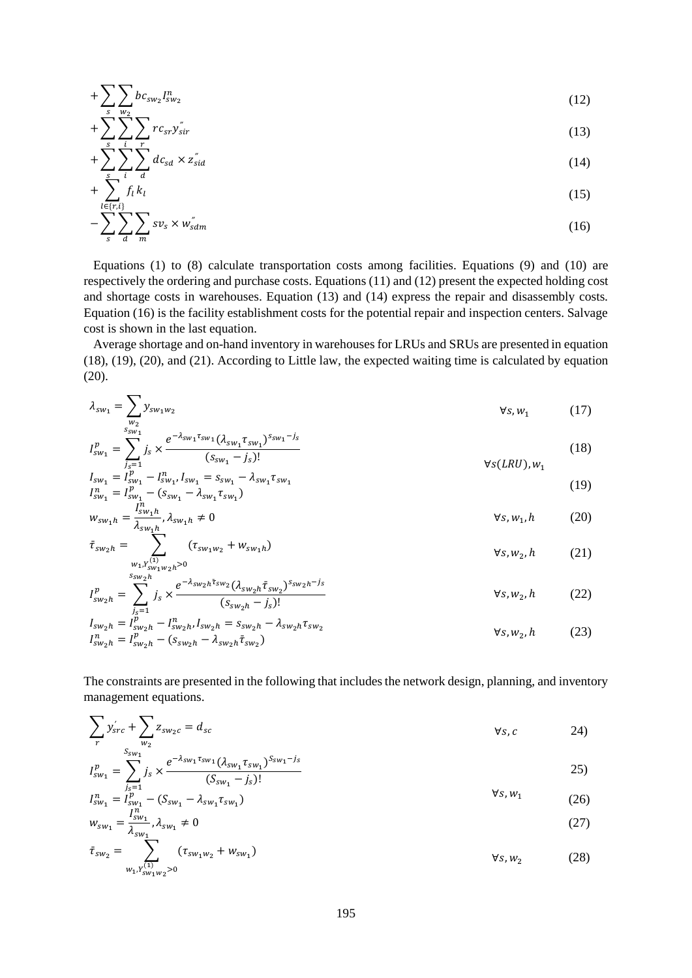$$
+\sum_{s}\sum_{w_2}bc_{sw_2}I_{sw_2}^n\tag{12}
$$

$$
+\sum_{s}\sum_{i}\sum_{r}rc_{sr}y_{sir}^{*}
$$
\n
$$
(13)
$$

$$
+\sum_{s}\sum_{i} \sum_{d} dc_{sd} \times z_{sid}^{*} \tag{14}
$$

$$
+\sum_{l\in\{r,i\}\atop s}\frac{f_l k_l}{\sum_{d} w_s} \sum_{w_s'} \times w_{sdm}'' \tag{15}
$$

 Equations (1) to (8) calculate transportation costs among facilities. Equations (9) and (10) are respectively the ordering and purchase costs. Equations (11) and (12) present the expected holding cost and shortage costs in warehouses. Equation (13) and (14) express the repair and disassembly costs. Equation (16) is the facility establishment costs for the potential repair and inspection centers. Salvage cost is shown in the last equation.

 Average shortage and on-hand inventory in warehouses for LRUs and SRUs are presented in equation (18), (19), (20), and (21). According to Little law, the expected waiting time is calculated by equation (20).

$$
\lambda_{sw_1} = \sum_{\substack{w_2 \\ s_{sw_1}}} y_{sw_1w_2} \qquad \qquad \forall s, w_1 \qquad (17)
$$

$$
I_{sw_1}^p = \sum_{j_s=1}^{5^{w_1}} j_s \times \frac{e^{-\lambda_{sw_1} \tau_{sw_1}} (\lambda_{sw_1} \tau_{sw_1})^{S_{sw_1} - j_s}}{(s_{sw_1} - j_s)!}
$$
(18)  

$$
I = I^p = I^n \quad I = s = -\lambda \quad \tau
$$

$$
I_{sw_1} = I_{sw_1}^p - I_{sw_1}^n I_{sw_1} = s_{sw_1} - \lambda_{sw_1} \tau_{sw_1}
$$
  
\n
$$
I_{sw_1}^n = I_{sw_1}^p - (s_{sw_1} - \lambda_{sw_1} \tau_{sw_1})
$$
  
\n
$$
\vdots
$$
  
\n
$$
I_{sw_1}^n = I_{sw_1}^p - \lambda_{sw_1} \tau_{sw_1}
$$
  
\n(19)

$$
w_{sw_1h} = \frac{sw_1h}{\lambda_{sw_1h}}, \lambda_{sw_1h} \neq 0
$$
\n
$$
\bar{\tau}_{sw_2h} = \sum_{k=0}^{sw_1h} (\tau_{sw_1w_2} + w_{sw_1h})
$$
\n(20)

$$
v_{sw_2h} = \n\begin{cases}\n(v_{sw_1w_2} + w_{sw_1h}) & \forall s, w_2, h \\
(w_{1}, v_{sw_1w_2h} > 0\n\end{cases}\n\tag{21}
$$
\n
$$
v_{1}v_{sw_2h} = \n\begin{cases}\n\frac{s_{sw_2h}}{s} & e^{-\lambda_{sw_2h}\bar{\tau}_{sw_2}} (\lambda_{sw_2h}\bar{\tau}_{sw_2})^{s_{sw_2h} - j_s & \forall s, w_2, h\n\end{cases}\n\tag{22}
$$

$$
I_{sw_2h}^p = \sum_{j_s=1}^{j_s} j_s \times \frac{e^{-\frac{1}{2}m_2w_2m_3m_2}(\lambda_{sw_2h}t_{sw_2})^{2m_2w_3m_3}}{(s_{sw_2h} - j_s)!}
$$
  $\forall s, w_2, h$  (22)

$$
I_{sw_2h} = I_{sw_2h}^{\vec{p}} - I_{sw_2h}^n, I_{sw_2h} = s_{sw_2h} - \lambda_{sw_2h} \tau_{sw_2}
$$
  
\n
$$
I_{sw_2h}^n = I_{sw_2h}^p - (s_{sw_2h} - \lambda_{sw_2h} \bar{\tau}_{sw_2})
$$
  
\n
$$
\forall s, w_2, h
$$
 (23)

The constraints are presented in the following that includes the network design, planning, and inventory management equations.

$$
\sum_{r} y'_{src} + \sum_{w_2} z_{sw_2c} = d_{sc}
$$
\n
$$
\forall s, c
$$
\n
$$
\qquad \qquad \forall s, c
$$
\n
$$
\qquad \qquad 24)
$$

$$
I_{sw_1}^p = \sum_{\substack{j_s=1 \ j_s \sim n}}^{S_{sw_1}} j_s \times \frac{e^{-\lambda_{sw_1} \tau_{sw_1}} (\lambda_{sw_1} \tau_{sw_1})^{S_{sw_1} - j_s}}{(S_{sw_1} - j_s)!}
$$
\n
$$
I_{sw_1}^n = I_{sw_1}^p - (S_{sw_1} - \lambda_{sw_1} \tau_{sw_1})
$$
\n
$$
\forall s, w_1
$$
\n(26)

$$
w_{sw_1} = \frac{I_{sw_1}^n}{\lambda_{sw_1}} \cdot \lambda_{sw_1} \neq 0
$$
 (27)

$$
\bar{\tau}_{sw_2} = \sum_{w_1, Y_{sw_1w_2}^{(1)} > 0} (\tau_{sw_1w_2} + w_{sw_1})
$$
\n
$$
\forall s, w_2
$$
\n(28)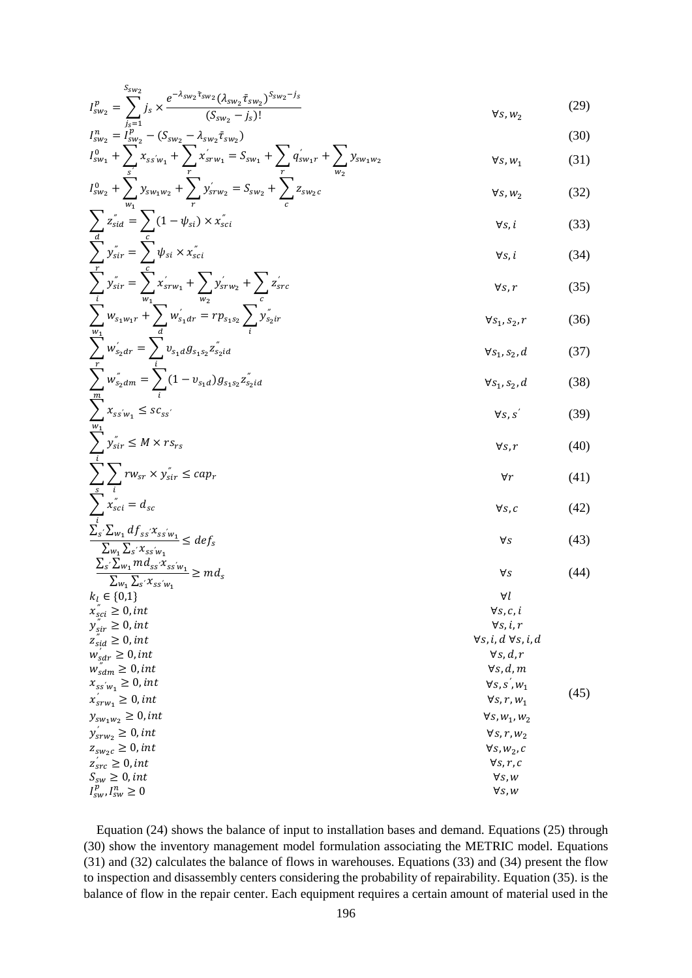$$
I_{sw_2}^p = \sum_{j_s=1}^{S_{sw_2}} j_s \times \frac{e^{-\lambda_{sw_2} \bar{\tau}_{sw_2}} (\lambda_{sw_2} \bar{\tau}_{sw_2})^{S_{sw_2} - j_s}}{(S_{sw_2} - j_s)!}
$$
(29)

$$
I_{sw_2}^n = \tilde{I}_{sw_2}^p - (S_{sw_2} - \lambda_{sw_2} \bar{\tau}_{sw_2})
$$
  
\n
$$
I_{sw_1}^0 + \sum_{s'} x_{ss'w_1} + \sum_{r} x'_{srw_1} = S_{sw_1} + \sum_{r} q'_{sw_1r} + \sum_{w_2} y_{sw_1w_2}
$$
\n(30)

$$
I_{sw_2}^0 + \sum_{w_1}^{s'} y_{sw_1w_2} + \sum_{r}^{r} y_{srw_2}^{'} = S_{sw_2} + \sum_{c}^{r} z_{sw_2c}^{w_2}
$$
  $\forall s, w_2$  (32)

$$
\sum_{\substack{d \\ \text{y}_{\text{si}}}^{\text{''}}} z_{\text{si}}^{\text{''}} = \sum_{\substack{c \\ c}} (1 - \psi_{\text{si}}) \times x_{\text{sci}}^{\text{''}} \tag{33}
$$
\n
$$
\forall s, i \qquad \forall s, i \qquad \forall s, i \qquad \forall s, i \qquad \forall s, i \qquad \forall s, i \qquad \forall s, i \qquad \forall s, i \qquad \forall s, i \qquad \forall s, i \qquad \forall s, i \qquad \forall s, i \qquad \forall s, i \qquad \forall s, i \qquad \forall s, i \qquad \forall s, i \qquad \forall s, i \qquad \forall s, i \qquad \forall s, i \qquad \forall s, i \qquad \forall s, i \qquad \forall s, i \qquad \forall s, i \qquad \forall s, i \qquad \forall s, i \qquad \forall s, i \qquad \forall s, i \qquad \forall s, i \qquad \forall s, i \qquad \forall s, i \qquad \forall s, i \qquad \forall s, i \qquad \forall s, i \qquad \forall s, i \qquad \forall s, i \qquad \forall s, i \qquad \forall s, i \qquad \forall s, i \qquad \forall s, i \qquad \forall s, i \qquad \forall s, i \qquad \forall s, i \qquad \forall s, i \qquad \forall s, i \qquad \forall s, i \qquad \forall s, i \qquad \forall s, i \qquad \forall s, i \qquad \forall s, i \qquad \forall s, i \qquad \forall s, i \qquad \forall s, i \qquad \forall s, i \qquad \forall s, i \qquad \forall s, i \qquad \forall s, i \qquad \forall s, i \qquad \forall s, i \qquad \forall s, i \qquad \forall s, i \qquad \forall s, i \qquad \forall s, i \qquad \forall s, i \qquad \forall s, i \qquad \forall s, i \qquad \forall s, i \qquad \forall s, i \qquad \forall s, i \qquad \forall s, i \qquad \forall s, i \qquad \forall s, i \qquad \forall s, i \qquad \forall s, i \qquad \forall s, i \qquad \forall s, i \qquad \forall s, i \qquad \forall s, i \qquad \forall s, i \qquad \forall s, i \qquad \forall s, i \qquad \forall s, i \qquad \forall s, i \qquad \forall s, i \qquad \forall s, i
$$

$$
\sum_{i}^{r} y_{sir}^{*} = \sum_{w_1}^{c} x_{srw_1}^{'} + \sum_{w_2}^{r} y_{srw_2}^{'} + \sum_{c}^{r} z_{src}^{'} \qquad \qquad \forall s, r \qquad (35)
$$

$$
\sum_{w_1} w_{s_1 w_1 r} + \sum_{d} w'_{s_1 d r} = r p_{s_1 s_2} \sum_{i} y'_{s_2 i r} \qquad \forall s_1, s_2, r \qquad (36)
$$
  

$$
\sum_{w_1} w'_{s_2 d r} = \sum_{s_1 d} v_{s_1 d} g_{s_1 s_2} z'_{s_2 i d} \qquad \forall s_1, s_2, d \qquad (37)
$$

$$
\sum_{m}^{r} w_{s_2 dm}^{''} = \sum_{i}^{i} (1 - v_{s_1 d}) g_{s_1 s_2} z_{s_2 id}^{''}
$$
\n
$$
\forall s_1, s_2, d \tag{38}
$$

$$
\sum_{w_1} x_{ss'w_1} \le sc_{ss'} \qquad \qquad \forall s, s' \qquad (39)
$$
  

$$
\sum_{w_1} y_{sir}^* \le M \times rs_{rs} \qquad \qquad \forall s, r \qquad (40)
$$

$$
\sum_{s}^{i} \sum_{i} rw_{sr} \times y_{sir}^{*} \le cap_{r} \tag{41}
$$

$$
\sum_{i} x_{sci}^{s} = d_{sc}
$$
\n
$$
\frac{\sum_{s} \sum_{w_1} df_{ss} x_{ssw_1}}{\sum_{w_1} \sum_{s} x_{ssw_1}} \le def_s
$$
\n
$$
\frac{\sum_{s} \sum_{w_1} m d_{ss} x_{ssw_1}}{\sum_{w_1} \sum_{s} x_{ssw_1}} \ge md_s
$$
\n
$$
k_l \in \{0,1\}
$$
\n(44)\n
$$
V_s
$$
\n(45)

 $x_{ss\,w_1}$ 

 $y_{sw_1w_2} \ge 0$ , int

 $z_{sw_2c} \geq 0, int$ 

 $I_{sw}^p$ ,  $I_{sw}^n$ 

| $x_{j}$ | $x_{j}$ | $x_{j}$ |
|---------|---------|---------|
| $x_{j}$ | $x_{j}$ | $x_{j}$ |
| $x_{j}$ | $x_{j}$ | $x_{j}$ |
| $x_{j}$ | $x_{j}$ | $x_{j}$ |
| $x_{j}$ | $x_{j}$ | $x_{j}$ |
| $x_{j}$ | $x_{j}$ | $x_{j}$ |
| $x_{j}$ | $x_{j}$ | $x_{j}$ |
| $x_{j}$ | $x_{j}$ | $x_{j}$ |
| $x_{j}$ | $x_{j}$ | $x_{j}$ |
| $x_{j}$ | $x_{j}$ | $x_{j}$ |
| $x_{j}$ | $x_{j}$ | $x_{j}$ |
| $x_{j}$ | $x_{j}$ | $x_{j}$ |
| $x_{j}$ | $x_{j}$ | $x_{j}$ |
| $x_{j}$ | $x_{j}$ | $x_{j}$ |
| $x_{j}$ | $x_{j}$ | $x_{j}$ |
| $x_{j}$ | $x_{j}$ | $x_{j}$ |
| $x_{j}$ | $x_{j}$ | $x_{j}$ |
| $x_{j}$ | $x_{j}$ |         |

 Equation (24) shows the balance of input to installation bases and demand. Equations (25) through (30) show the inventory management model formulation associating the METRIC model. Equations (31) and (32) calculates the balance of flows in warehouses. Equations (33) and (34) present the flow to inspection and disassembly centers considering the probability of repairability. Equation (35). is the balance of flow in the repair center. Each equipment requires a certain amount of material used in the

 $\frac{n}{sw} \geq 0$   $\forall s, w$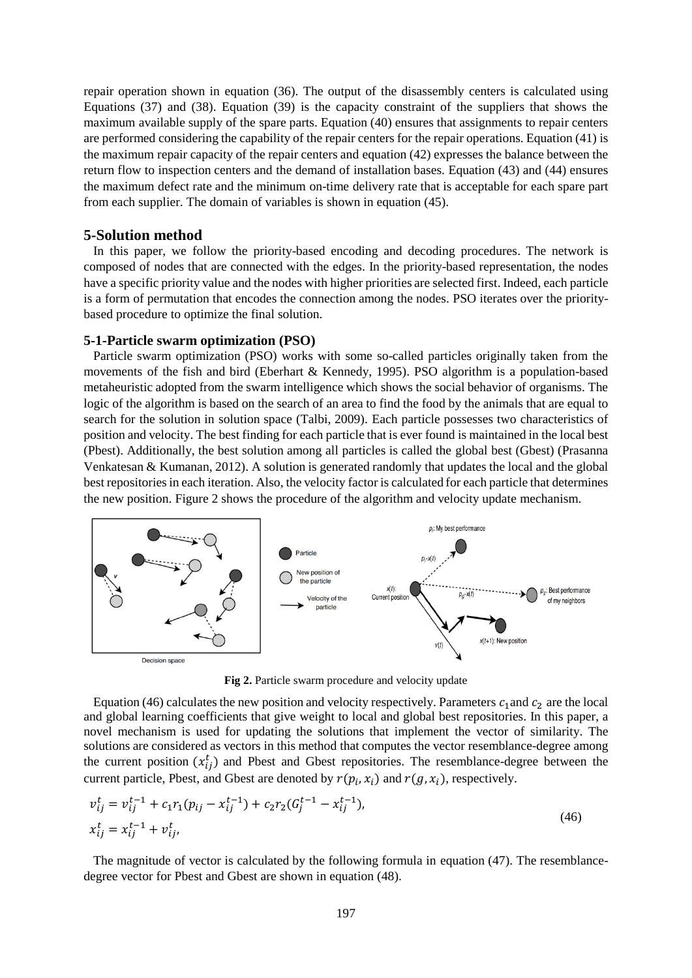repair operation shown in equation (36). The output of the disassembly centers is calculated using Equations (37) and (38). Equation (39) is the capacity constraint of the suppliers that shows the maximum available supply of the spare parts. Equation (40) ensures that assignments to repair centers are performed considering the capability of the repair centers for the repair operations. Equation (41) is the maximum repair capacity of the repair centers and equation (42) expresses the balance between the return flow to inspection centers and the demand of installation bases. Equation (43) and (44) ensures the maximum defect rate and the minimum on-time delivery rate that is acceptable for each spare part from each supplier. The domain of variables is shown in equation (45).

### **5-Solution method**

 In this paper, we follow the priority-based encoding and decoding procedures. The network is composed of nodes that are connected with the edges. In the priority-based representation, the nodes have a specific priority value and the nodes with higher priorities are selected first. Indeed, each particle is a form of permutation that encodes the connection among the nodes. PSO iterates over the prioritybased procedure to optimize the final solution.

#### **5-1-Particle swarm optimization (PSO)**

 Particle swarm optimization (PSO) works with some so-called particles originally taken from the movements of the fish and bird (Eberhart & Kennedy, 1995). PSO algorithm is a population-based metaheuristic adopted from the swarm intelligence which shows the social behavior of organisms. The logic of the algorithm is based on the search of an area to find the food by the animals that are equal to search for the solution in solution space (Talbi, 2009). Each particle possesses two characteristics of position and velocity. The best finding for each particle that is ever found is maintained in the local best (Pbest). Additionally, the best solution among all particles is called the global best (Gbest) (Prasanna Venkatesan & Kumanan, 2012). A solution is generated randomly that updates the local and the global best repositoriesin each iteration. Also, the velocity factor is calculated for each particle that determines the new position. Figure 2 shows the procedure of the algorithm and velocity update mechanism.



**Fig 2.** Particle swarm procedure and velocity update

Equation (46) calculates the new position and velocity respectively. Parameters  $c_1$  and  $c_2$  are the local and global learning coefficients that give weight to local and global best repositories. In this paper, a novel mechanism is used for updating the solutions that implement the vector of similarity. The solutions are considered as vectors in this method that computes the vector resemblance-degree among the current position  $(x_{ij}^t)$  and Pbest and Gbest repositories. The resemblance-degree between the current particle, Pbest, and Gbest are denoted by  $r(p_i, x_i)$  and  $r(g, x_i)$ , respectively.

$$
v_{ij}^t = v_{ij}^{t-1} + c_1 r_1 (p_{ij} - x_{ij}^{t-1}) + c_2 r_2 (G_j^{t-1} - x_{ij}^{t-1}),
$$
  
\n
$$
x_{ij}^t = x_{ij}^{t-1} + v_{ij}^t,
$$
\n(46)

 The magnitude of vector is calculated by the following formula in equation (47). The resemblancedegree vector for Pbest and Gbest are shown in equation (48).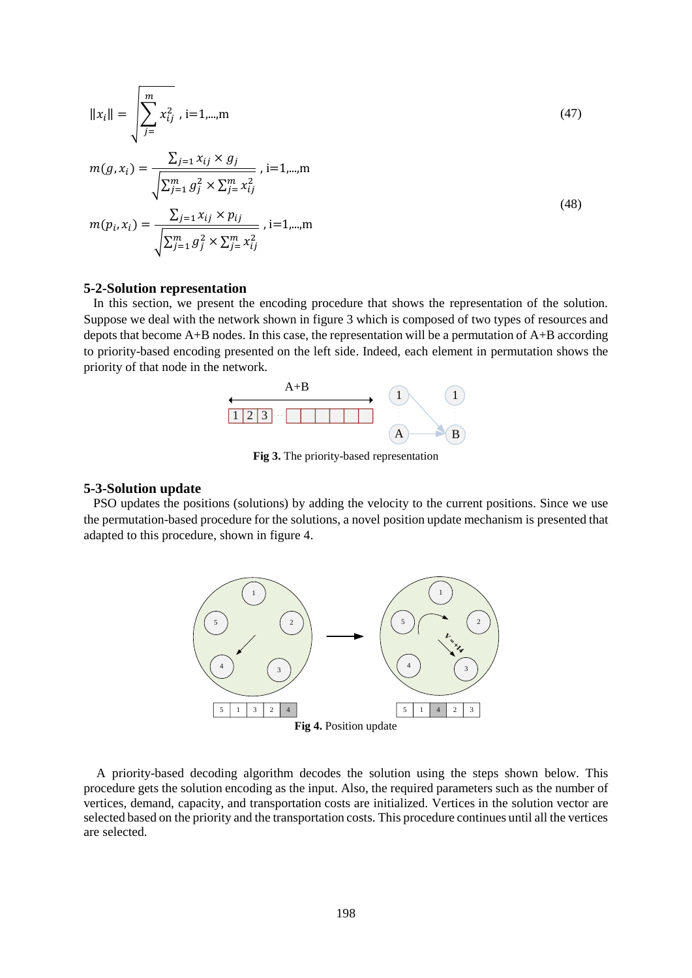$$
||x_i|| = \sqrt{\sum_{j=1}^{m} x_{ij}^2, i=1,\dots,m}
$$
\n
$$
m(g, x_i) = \frac{\sum_{j=1}^{n} x_{ij} \times g_j}{\sqrt{\sum_{j=1}^{m} g_j^2 \times \sum_{j=1}^{m} x_{ij}^2}}, i=1,\dots,m
$$
\n
$$
m(p_i, x_i) = \frac{\sum_{j=1}^{n} x_{ij} \times p_{ij}}{\sqrt{\sum_{j=1}^{m} g_j^2 \times \sum_{j=1}^{m} x_{ij}^2}}, i=1,\dots,m
$$
\n(48)

#### **5-2-Solution representation**

 In this section, we present the encoding procedure that shows the representation of the solution. Suppose we deal with the network shown in figure 3 which is composed of two types of resources and depots that become A+B nodes. In this case, the representation will be a permutation of A+B according to priority-based encoding presented on the left side. Indeed, each element in permutation shows the priority of that node in the network.



**Fig 3.** The priority-based representation

#### **5-3-Solution update**

 PSO updates the positions (solutions) by adding the velocity to the current positions. Since we use the permutation-based procedure for the solutions, a novel position update mechanism is presented that adapted to this procedure, shown in figure 4.



 A priority-based decoding algorithm decodes the solution using the steps shown below. This procedure gets the solution encoding as the input. Also, the required parameters such as the number of vertices, demand, capacity, and transportation costs are initialized. Vertices in the solution vector are selected based on the priority and the transportation costs. This procedure continues until all the vertices are selected.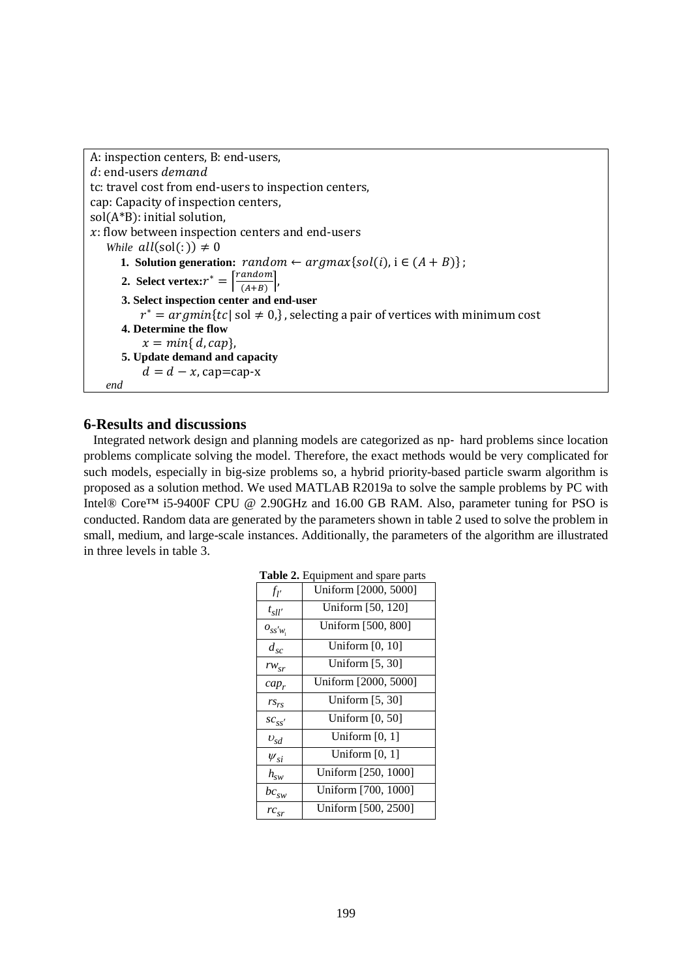```
A: inspection centers, B: end-users,
d: end-users demand
tc: travel cost from end-users to inspection centers,
cap: Capacity of inspection centers,
sol(A*B): initial solution, 
: flow between inspection centers and end-users 
   While all(sol(:)) \neq 01. Solution generation: random \leftarrow argmax{sol(i), i \in (A + B)};
       2. Select vertex: r^* = \left[\frac{random}{(4+n)}\right]\frac{u \cdot u}{(A+B)}3. Select inspection center and end-user
          r^* = argmin\{tc | sol \neq 0, \}, selecting a pair of vertices with minimum cost
      4. Determine the flow
           x = min{ d, cap},
      5. Update demand and capacity 
           d = d - x, cap=cap-x
   end
```
### **6-Results and discussions**

 Integrated network design and planning models are categorized as np- hard problems since location problems complicate solving the model. Therefore, the exact methods would be very complicated for such models, especially in big-size problems so, a hybrid priority-based particle swarm algorithm is proposed as a solution method. We used MATLAB R2019a to solve the sample problems by PC with Intel® Core™ i5-9400F CPU @ 2.90GHz and 16.00 GB RAM. Also, parameter tuning for PSO is conducted. Random data are generated by the parameters shown in table 2 used to solve the problem in small, medium, and large-scale instances. Additionally, the parameters of the algorithm are illustrated in three levels in table 3.

|                   | $\mu$ and $\mu$ . Equipment and spare parts |
|-------------------|---------------------------------------------|
| $f_{l'}$          | Uniform [2000, 5000]                        |
| $t_{\text{Sll}'}$ | Uniform [50, 120]                           |
| $O_{SS'W_1}$      | Uniform [500, 800]                          |
| $d_{sc}$          | Uniform $[0, 10]$                           |
| $rw_{sr}$         | Uniform $[5, 30]$                           |
| $cap_r$           | Uniform [2000, 5000]                        |
| $rs_{rs}$         | Uniform $[5, 30]$                           |
| $SC_{SS}$         | Uniform $[0, 50]$                           |
| $v_{sd}$          | Uniform $[0, 1]$                            |
| $\psi_{si}$       | Uniform $[0, 1]$                            |
| $h_{sw}$          | Uniform [250, 1000]                         |
| $bc_{sw}$         | Uniform [700, 1000]                         |
| $rc_{sr}$         | Uniform [500, 2500]                         |

**Table 2.** Equipment and spare parts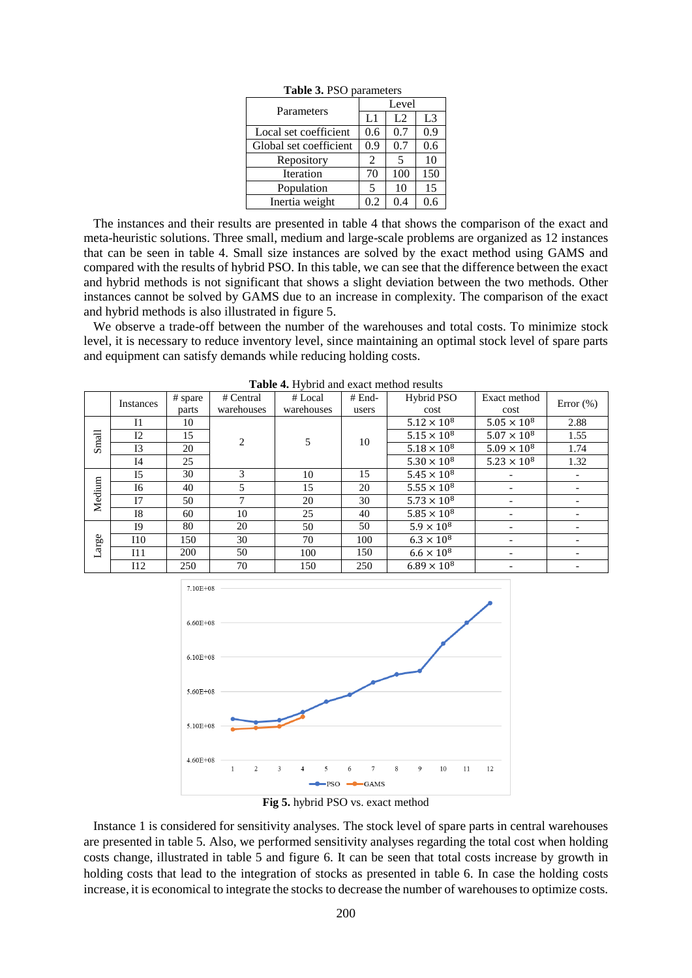| Parameters             | Level |     |     |  |  |  |  |  |
|------------------------|-------|-----|-----|--|--|--|--|--|
|                        | L1    | L2  | L3  |  |  |  |  |  |
| Local set coefficient  | 0.6   | 0.7 | 0.9 |  |  |  |  |  |
| Global set coefficient | 0.9   | 0.7 | 0.6 |  |  |  |  |  |
| Repository             | 2     | 5   | 10  |  |  |  |  |  |
| Iteration              | 70    | 100 | 150 |  |  |  |  |  |
| Population             | 5     | 10  | 15  |  |  |  |  |  |
| Inertia weight         | 0.2   | 0.4 | 0.6 |  |  |  |  |  |

**Table 3.** PSO parameters

 The instances and their results are presented in table 4 that shows the comparison of the exact and meta-heuristic solutions. Three small, medium and large-scale problems are organized as 12 instances that can be seen in table 4. Small size instances are solved by the exact method using GAMS and compared with the results of hybrid PSO. In this table, we can see that the difference between the exact and hybrid methods is not significant that shows a slight deviation between the two methods. Other instances cannot be solved by GAMS due to an increase in complexity. The comparison of the exact and hybrid methods is also illustrated in figure 5.

 We observe a trade-off between the number of the warehouses and total costs. To minimize stock level, it is necessary to reduce inventory level, since maintaining an optimal stock level of spare parts and equipment can satisfy demands while reducing holding costs.

|        | <b>Instances</b> | # spare | # Central      | $#$ End-<br># Local |       | Hybrid PSO           | Exact method         | Error $(\%)$             |  |
|--------|------------------|---------|----------------|---------------------|-------|----------------------|----------------------|--------------------------|--|
|        | parts            |         | warehouses     | warehouses          | users | cost                 | cost                 |                          |  |
|        | $_{\rm I1}$      | 10      |                |                     |       | $5.12 \times 10^8$   | $5.05 \times 10^8$   | 2.88                     |  |
| Small  | 12               | 15      | $\overline{2}$ | 5                   | 10    | $5.15 \times 10^{8}$ | $5.07 \times 10^8$   | 1.55                     |  |
|        | 13               | 20      |                |                     |       | $5.18 \times 10^{8}$ | $5.09 \times 10^{8}$ | 1.74                     |  |
|        | I <sub>4</sub>   | 25      |                |                     |       | $5.30 \times 10^8$   | $5.23 \times 10^{8}$ | 1.32                     |  |
|        | I <sub>5</sub>   | 30      | 3              | 10                  | 15    | $5.45 \times 10^{8}$ |                      |                          |  |
|        | I6               | 40      | 5              | 15                  | 20    | $5.55 \times 10^8$   |                      | $\overline{\phantom{a}}$ |  |
| Medium | 17               | 50      | 7              | 20                  | 30    | $5.73 \times 10^{8}$ |                      |                          |  |
|        | <b>I8</b>        | 60      | 10             | 25                  | 40    | $5.85\times10^8$     |                      |                          |  |
|        | <b>I9</b>        | 80      | 20             | 50                  | 50    | $5.9 \times 10^{8}$  |                      |                          |  |
| Large  | 110              | 150     | 30             | 70                  | 100   | $6.3 \times 10^{8}$  |                      |                          |  |
|        | I11              | 200     | 50             | 100                 | 150   | $6.6 \times 10^{8}$  |                      |                          |  |
|        | 112              | 250     | 70             | 150                 | 250   | $6.89 \times 10^{8}$ |                      |                          |  |

**Table 4.** Hybrid and exact method results



**Fig 5.** hybrid PSO vs. exact method

 Instance 1 is considered for sensitivity analyses. The stock level of spare parts in central warehouses are presented in table 5. Also, we performed sensitivity analyses regarding the total cost when holding costs change, illustrated in table 5 and figure 6. It can be seen that total costs increase by growth in holding costs that lead to the integration of stocks as presented in table 6. In case the holding costs increase, it is economical to integrate the stocks to decrease the number of warehouses to optimize costs.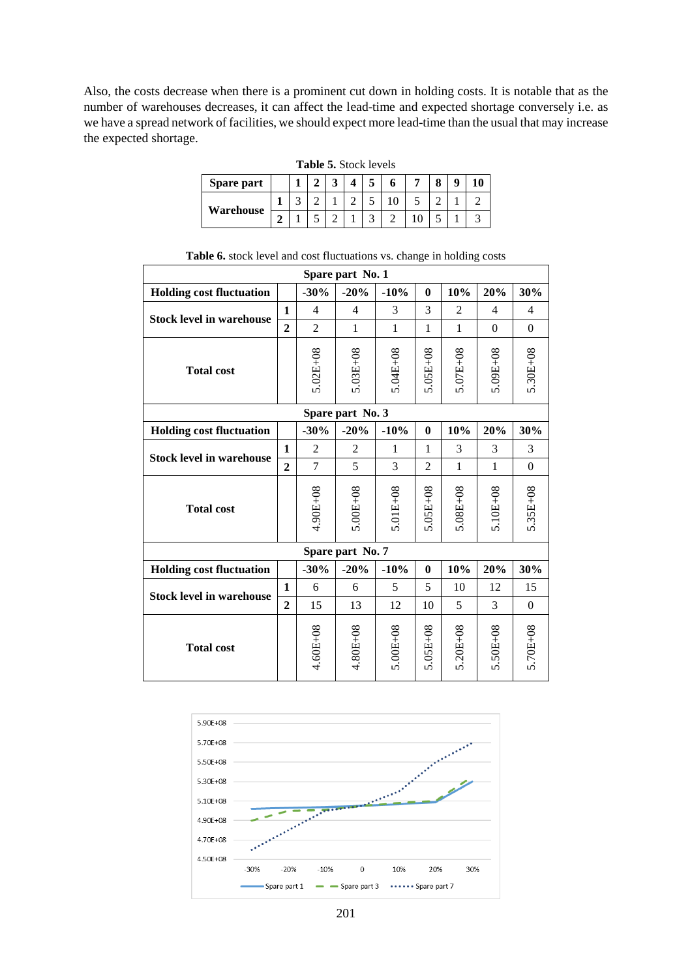Also, the costs decrease when there is a prominent cut down in holding costs. It is notable that as the number of warehouses decreases, it can affect the lead-time and expected shortage conversely i.e. as we have a spread network of facilities, we should expect more lead-time than the usual that may increase the expected shortage.

| <b>Table 5.</b> Stock levels |   |  |  |  |  |  |  |  |  |  |
|------------------------------|---|--|--|--|--|--|--|--|--|--|
| <b>Spare part</b>            |   |  |  |  |  |  |  |  |  |  |
| Warehouse                    |   |  |  |  |  |  |  |  |  |  |
|                              | ◠ |  |  |  |  |  |  |  |  |  |

| Spare part No. 1                |                  |                |                  |              |                |                |                |                  |  |  |  |
|---------------------------------|------------------|----------------|------------------|--------------|----------------|----------------|----------------|------------------|--|--|--|
| <b>Holding cost fluctuation</b> |                  | $-30%$         | $-20%$           | $-10%$       | $\bf{0}$       | 10%            | 20%            | 30%              |  |  |  |
|                                 |                  | $\overline{4}$ | 4                | 3            | 3              | $\overline{2}$ | 4              | $\overline{4}$   |  |  |  |
| <b>Stock level in warehouse</b> | $\overline{2}$   | $\overline{2}$ | 1                | $\mathbf{1}$ | $\mathbf{1}$   | 1              | $\overline{0}$ | $\theta$         |  |  |  |
| <b>Total cost</b>               |                  | $5.02E + 08$   | $5.03E + 08$     | 5.04E+08     | $5.05E + 08$   | $5.07E + 08$   | 5.09E+08       | 5.30E+08         |  |  |  |
|                                 | Spare part No. 3 |                |                  |              |                |                |                |                  |  |  |  |
| <b>Holding cost fluctuation</b> |                  | $-30%$         | $-20%$           | $-10%$       | $\bf{0}$       | 10%            | 20%            | 30%              |  |  |  |
|                                 |                  | 2              | $\overline{2}$   | 1            | 1              | 3              | 3              | 3                |  |  |  |
| <b>Stock level in warehouse</b> | $\overline{2}$   | 7              | 5                | 3            | $\overline{2}$ | 1              | $\mathbf{1}$   | $\boldsymbol{0}$ |  |  |  |
| <b>Total cost</b>               |                  | 4.90E+08       | $5.00E + 08$     | $5.01E + 08$ | $5.05E + 08$   | $5.08E + 08$   | $5.10E + 08$   | $5.35E + 08$     |  |  |  |
|                                 |                  |                | Spare part No. 7 |              |                |                |                |                  |  |  |  |
| <b>Holding cost fluctuation</b> |                  | $-30%$         | $-20%$           | $-10%$       | $\bf{0}$       | 10%            | 20%            | 30%              |  |  |  |
|                                 | 1                | 6              | 6                | 5            | 5              | 10             | 12             | 15               |  |  |  |
| <b>Stock level in warehouse</b> | $\overline{2}$   | 15             | 13               | 12           | 10             | 5              | 3              | $\mathbf{0}$     |  |  |  |
| <b>Total cost</b>               |                  | $4.60E + 08$   | 4.80E+08         | $5.00E + 08$ | $5.05E + 08$   | $5.20E + 08$   | 5.50E+08       | 5.70E+08         |  |  |  |

|  |  |  |  | Table 6. stock level and cost fluctuations vs. change in holding costs |
|--|--|--|--|------------------------------------------------------------------------|
|  |  |  |  |                                                                        |



201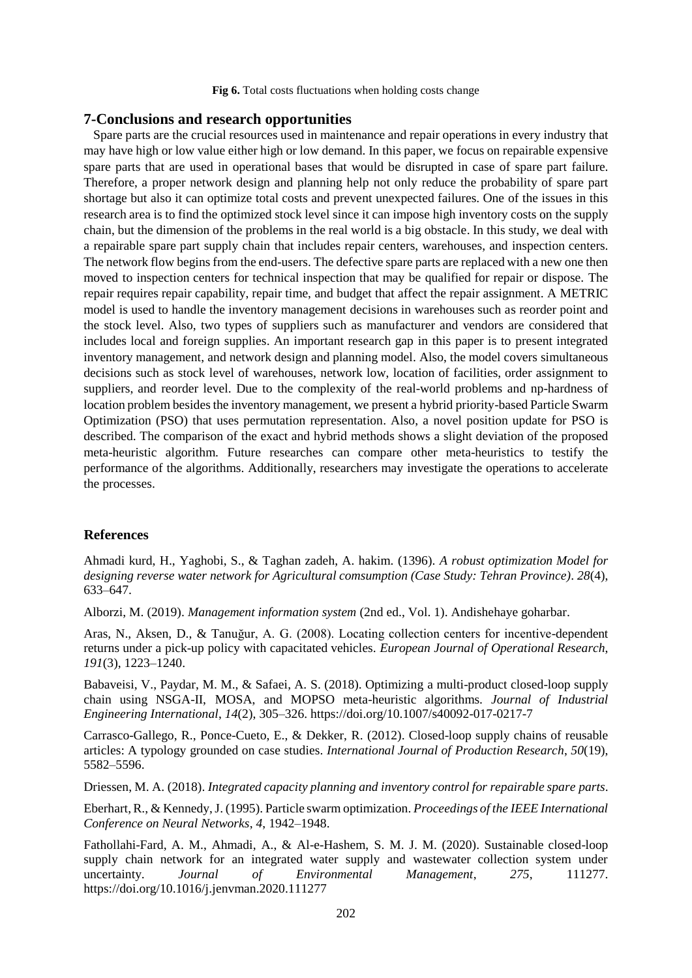**Fig 6.** Total costs fluctuations when holding costs change

#### **7-Conclusions and research opportunities**

 Spare parts are the crucial resources used in maintenance and repair operations in every industry that may have high or low value either high or low demand. In this paper, we focus on repairable expensive spare parts that are used in operational bases that would be disrupted in case of spare part failure. Therefore, a proper network design and planning help not only reduce the probability of spare part shortage but also it can optimize total costs and prevent unexpected failures. One of the issues in this research area is to find the optimized stock level since it can impose high inventory costs on the supply chain, but the dimension of the problems in the real world is a big obstacle. In this study, we deal with a repairable spare part supply chain that includes repair centers, warehouses, and inspection centers. The network flow begins from the end-users. The defective spare parts are replaced with a new one then moved to inspection centers for technical inspection that may be qualified for repair or dispose. The repair requires repair capability, repair time, and budget that affect the repair assignment. A METRIC model is used to handle the inventory management decisions in warehouses such as reorder point and the stock level. Also, two types of suppliers such as manufacturer and vendors are considered that includes local and foreign supplies. An important research gap in this paper is to present integrated inventory management, and network design and planning model. Also, the model covers simultaneous decisions such as stock level of warehouses, network low, location of facilities, order assignment to suppliers, and reorder level. Due to the complexity of the real-world problems and np-hardness of location problem besides the inventory management, we present a hybrid priority-based Particle Swarm Optimization (PSO) that uses permutation representation. Also, a novel position update for PSO is described. The comparison of the exact and hybrid methods shows a slight deviation of the proposed meta-heuristic algorithm. Future researches can compare other meta-heuristics to testify the performance of the algorithms. Additionally, researchers may investigate the operations to accelerate the processes.

### **References**

Ahmadi kurd, H., Yaghobi, S., & Taghan zadeh, A. hakim. (1396). *A robust optimization Model for designing reverse water network for Agricultural comsumption (Case Study: Tehran Province)*. *28*(4), 633–647.

Alborzi, M. (2019). *Management information system* (2nd ed., Vol. 1). Andishehaye goharbar.

Aras, N., Aksen, D., & Tanuğur, A. G. (2008). Locating collection centers for incentive-dependent returns under a pick-up policy with capacitated vehicles. *European Journal of Operational Research*, *191*(3), 1223–1240.

Babaveisi, V., Paydar, M. M., & Safaei, A. S. (2018). Optimizing a multi-product closed-loop supply chain using NSGA-II, MOSA, and MOPSO meta-heuristic algorithms. *Journal of Industrial Engineering International*, *14*(2), 305–326. https://doi.org/10.1007/s40092-017-0217-7

Carrasco-Gallego, R., Ponce-Cueto, E., & Dekker, R. (2012). Closed-loop supply chains of reusable articles: A typology grounded on case studies. *International Journal of Production Research*, *50*(19), 5582–5596.

Driessen, M. A. (2018). *Integrated capacity planning and inventory control for repairable spare parts*.

Eberhart, R., & Kennedy, J. (1995). Particle swarm optimization. *Proceedings of the IEEE International Conference on Neural Networks*, *4*, 1942–1948.

Fathollahi-Fard, A. M., Ahmadi, A., & Al-e-Hashem, S. M. J. M. (2020). Sustainable closed-loop supply chain network for an integrated water supply and wastewater collection system under uncertainty. *Journal of Environmental Management*, *275*, 111277. https://doi.org/10.1016/j.jenvman.2020.111277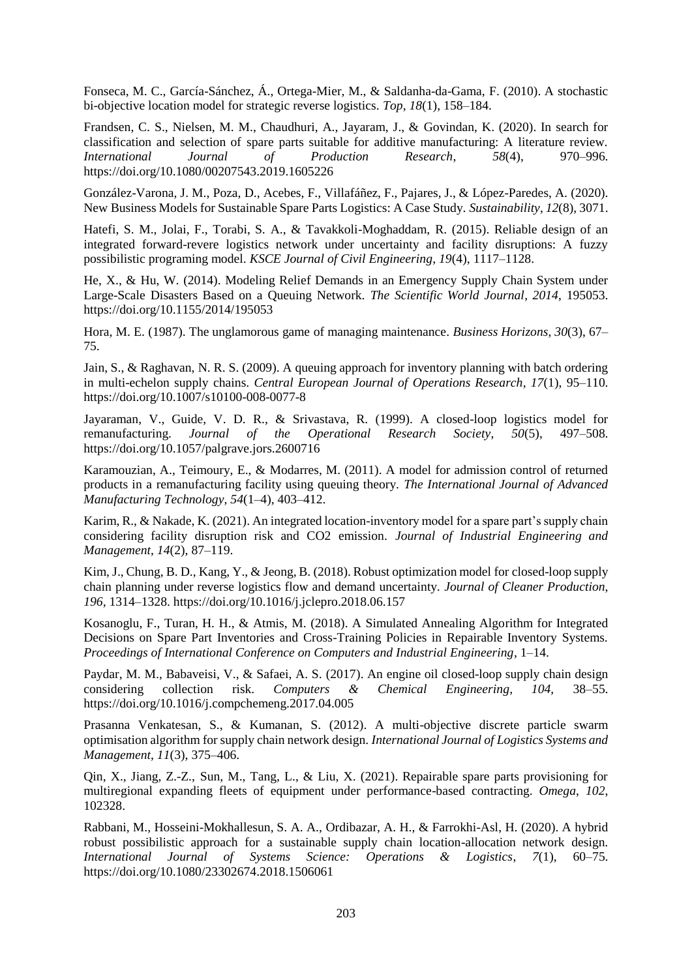Fonseca, M. C., García-Sánchez, Á., Ortega-Mier, M., & Saldanha-da-Gama, F. (2010). A stochastic bi-objective location model for strategic reverse logistics. *Top*, *18*(1), 158–184.

Frandsen, C. S., Nielsen, M. M., Chaudhuri, A., Jayaram, J., & Govindan, K. (2020). In search for classification and selection of spare parts suitable for additive manufacturing: A literature review. *International Journal of Production Research*, *58*(4), 970–996. https://doi.org/10.1080/00207543.2019.1605226

González-Varona, J. M., Poza, D., Acebes, F., Villafáñez, F., Pajares, J., & López-Paredes, A. (2020). New Business Models for Sustainable Spare Parts Logistics: A Case Study. *Sustainability*, *12*(8), 3071.

Hatefi, S. M., Jolai, F., Torabi, S. A., & Tavakkoli-Moghaddam, R. (2015). Reliable design of an integrated forward-revere logistics network under uncertainty and facility disruptions: A fuzzy possibilistic programing model. *KSCE Journal of Civil Engineering*, *19*(4), 1117–1128.

He, X., & Hu, W. (2014). Modeling Relief Demands in an Emergency Supply Chain System under Large-Scale Disasters Based on a Queuing Network. *The Scientific World Journal*, *2014*, 195053. https://doi.org/10.1155/2014/195053

Hora, M. E. (1987). The unglamorous game of managing maintenance. *Business Horizons*, *30*(3), 67– 75.

Jain, S., & Raghavan, N. R. S. (2009). A queuing approach for inventory planning with batch ordering in multi-echelon supply chains. *Central European Journal of Operations Research*, *17*(1), 95–110. https://doi.org/10.1007/s10100-008-0077-8

Jayaraman, V., Guide, V. D. R., & Srivastava, R. (1999). A closed-loop logistics model for remanufacturing. *Journal of the Operational Research Society*, *50*(5), 497–508. https://doi.org/10.1057/palgrave.jors.2600716

Karamouzian, A., Teimoury, E., & Modarres, M. (2011). A model for admission control of returned products in a remanufacturing facility using queuing theory. *The International Journal of Advanced Manufacturing Technology*, *54*(1–4), 403–412.

Karim, R., & Nakade, K. (2021). An integrated location-inventory model for a spare part's supply chain considering facility disruption risk and CO2 emission. *Journal of Industrial Engineering and Management*, *14*(2), 87–119.

Kim, J., Chung, B. D., Kang, Y., & Jeong, B. (2018). Robust optimization model for closed-loop supply chain planning under reverse logistics flow and demand uncertainty. *Journal of Cleaner Production*, *196*, 1314–1328. https://doi.org/10.1016/j.jclepro.2018.06.157

Kosanoglu, F., Turan, H. H., & Atmis, M. (2018). A Simulated Annealing Algorithm for Integrated Decisions on Spare Part Inventories and Cross-Training Policies in Repairable Inventory Systems. *Proceedings of International Conference on Computers and Industrial Engineering*, 1–14.

Paydar, M. M., Babaveisi, V., & Safaei, A. S. (2017). An engine oil closed-loop supply chain design considering collection risk. *Computers & Chemical Engineering*, *104*, 38–55. https://doi.org/10.1016/j.compchemeng.2017.04.005

Prasanna Venkatesan, S., & Kumanan, S. (2012). A multi-objective discrete particle swarm optimisation algorithm for supply chain network design. *International Journal of Logistics Systems and Management*, *11*(3), 375–406.

Qin, X., Jiang, Z.-Z., Sun, M., Tang, L., & Liu, X. (2021). Repairable spare parts provisioning for multiregional expanding fleets of equipment under performance-based contracting. *Omega*, *102*, 102328.

Rabbani, M., Hosseini-Mokhallesun, S. A. A., Ordibazar, A. H., & Farrokhi-Asl, H. (2020). A hybrid robust possibilistic approach for a sustainable supply chain location-allocation network design. *International Journal of Systems Science: Operations & Logistics*, *7*(1), 60–75. https://doi.org/10.1080/23302674.2018.1506061